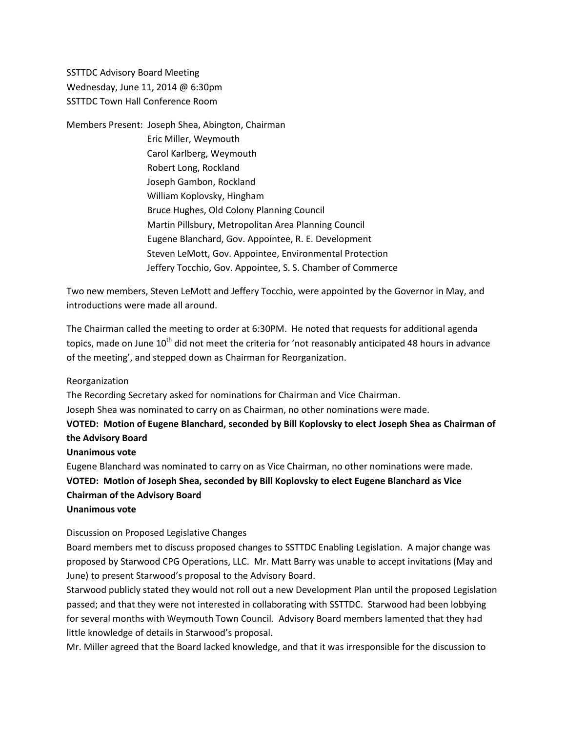SSTTDC Advisory Board Meeting Wednesday, June 11, 2014 @ 6:30pm SSTTDC Town Hall Conference Room

Members Present: Joseph Shea, Abington, Chairman Eric Miller, Weymouth Carol Karlberg, Weymouth Robert Long, Rockland Joseph Gambon, Rockland William Koplovsky, Hingham Bruce Hughes, Old Colony Planning Council Martin Pillsbury, Metropolitan Area Planning Council Eugene Blanchard, Gov. Appointee, R. E. Development Steven LeMott, Gov. Appointee, Environmental Protection Jeffery Tocchio, Gov. Appointee, S. S. Chamber of Commerce

Two new members, Steven LeMott and Jeffery Tocchio, were appointed by the Governor in May, and introductions were made all around.

The Chairman called the meeting to order at 6:30PM. He noted that requests for additional agenda topics, made on June 10<sup>th</sup> did not meet the criteria for 'not reasonably anticipated 48 hours in advance of the meeting', and stepped down as Chairman for Reorganization.

Reorganization

The Recording Secretary asked for nominations for Chairman and Vice Chairman.

Joseph Shea was nominated to carry on as Chairman, no other nominations were made.

### **VOTED: Motion of Eugene Blanchard, seconded by Bill Koplovsky to elect Joseph Shea as Chairman of the Advisory Board**

**Unanimous vote**

Eugene Blanchard was nominated to carry on as Vice Chairman, no other nominations were made. **VOTED: Motion of Joseph Shea, seconded by Bill Koplovsky to elect Eugene Blanchard as Vice Chairman of the Advisory Board Unanimous vote**

Discussion on Proposed Legislative Changes

Board members met to discuss proposed changes to SSTTDC Enabling Legislation. A major change was proposed by Starwood CPG Operations, LLC. Mr. Matt Barry was unable to accept invitations (May and June) to present Starwood's proposal to the Advisory Board.

Starwood publicly stated they would not roll out a new Development Plan until the proposed Legislation passed; and that they were not interested in collaborating with SSTTDC. Starwood had been lobbying for several months with Weymouth Town Council. Advisory Board members lamented that they had little knowledge of details in Starwood's proposal.

Mr. Miller agreed that the Board lacked knowledge, and that it was irresponsible for the discussion to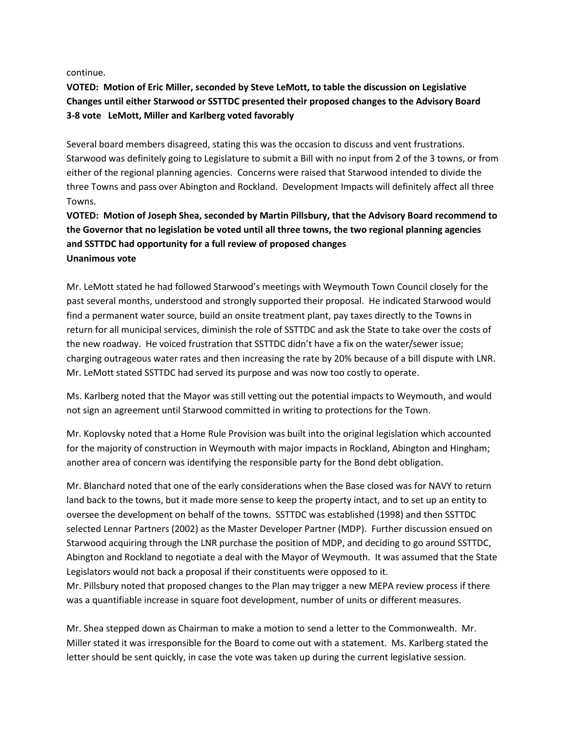continue.

## **VOTED: Motion of Eric Miller, seconded by Steve LeMott, to table the discussion on Legislative Changes until either Starwood or SSTTDC presented their proposed changes to the Advisory Board 3-8 vote LeMott, Miller and Karlberg voted favorably**

Several board members disagreed, stating this was the occasion to discuss and vent frustrations. Starwood was definitely going to Legislature to submit a Bill with no input from 2 of the 3 towns, or from either of the regional planning agencies. Concerns were raised that Starwood intended to divide the three Towns and pass over Abington and Rockland. Development Impacts will definitely affect all three Towns.

# **VOTED: Motion of Joseph Shea, seconded by Martin Pillsbury, that the Advisory Board recommend to the Governor that no legislation be voted until all three towns, the two regional planning agencies and SSTTDC had opportunity for a full review of proposed changes Unanimous vote**

Mr. LeMott stated he had followed Starwood's meetings with Weymouth Town Council closely for the past several months, understood and strongly supported their proposal. He indicated Starwood would find a permanent water source, build an onsite treatment plant, pay taxes directly to the Towns in return for all municipal services, diminish the role of SSTTDC and ask the State to take over the costs of the new roadway. He voiced frustration that SSTTDC didn't have a fix on the water/sewer issue; charging outrageous water rates and then increasing the rate by 20% because of a bill dispute with LNR. Mr. LeMott stated SSTTDC had served its purpose and was now too costly to operate.

Ms. Karlberg noted that the Mayor was still vetting out the potential impacts to Weymouth, and would not sign an agreement until Starwood committed in writing to protections for the Town.

Mr. Koplovsky noted that a Home Rule Provision was built into the original legislation which accounted for the majority of construction in Weymouth with major impacts in Rockland, Abington and Hingham; another area of concern was identifying the responsible party for the Bond debt obligation.

Mr. Blanchard noted that one of the early considerations when the Base closed was for NAVY to return land back to the towns, but it made more sense to keep the property intact, and to set up an entity to oversee the development on behalf of the towns. SSTTDC was established (1998) and then SSTTDC selected Lennar Partners (2002) as the Master Developer Partner (MDP). Further discussion ensued on Starwood acquiring through the LNR purchase the position of MDP, and deciding to go around SSTTDC, Abington and Rockland to negotiate a deal with the Mayor of Weymouth. It was assumed that the State Legislators would not back a proposal if their constituents were opposed to it.

Mr. Pillsbury noted that proposed changes to the Plan may trigger a new MEPA review process if there was a quantifiable increase in square foot development, number of units or different measures.

Mr. Shea stepped down as Chairman to make a motion to send a letter to the Commonwealth. Mr. Miller stated it was irresponsible for the Board to come out with a statement. Ms. Karlberg stated the letter should be sent quickly, in case the vote was taken up during the current legislative session.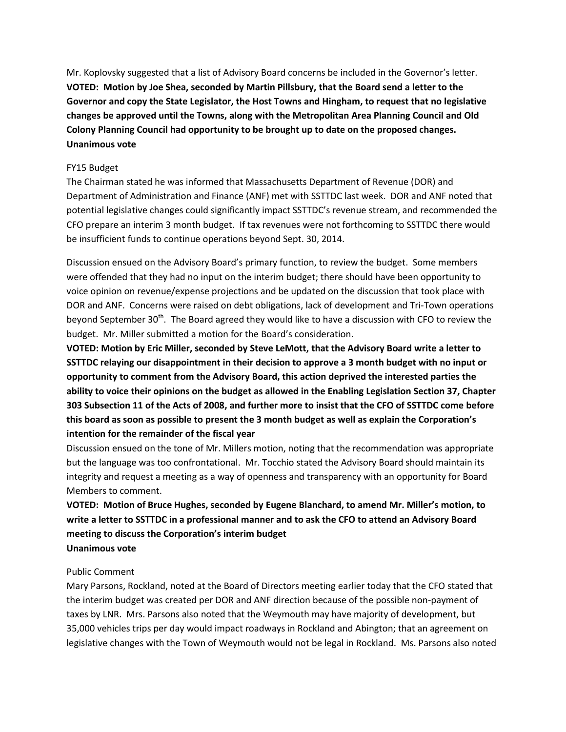Mr. Koplovsky suggested that a list of Advisory Board concerns be included in the Governor's letter. **VOTED: Motion by Joe Shea, seconded by Martin Pillsbury, that the Board send a letter to the Governor and copy the State Legislator, the Host Towns and Hingham, to request that no legislative changes be approved until the Towns, along with the Metropolitan Area Planning Council and Old Colony Planning Council had opportunity to be brought up to date on the proposed changes. Unanimous vote**

#### FY15 Budget

The Chairman stated he was informed that Massachusetts Department of Revenue (DOR) and Department of Administration and Finance (ANF) met with SSTTDC last week. DOR and ANF noted that potential legislative changes could significantly impact SSTTDC's revenue stream, and recommended the CFO prepare an interim 3 month budget. If tax revenues were not forthcoming to SSTTDC there would be insufficient funds to continue operations beyond Sept. 30, 2014.

Discussion ensued on the Advisory Board's primary function, to review the budget. Some members were offended that they had no input on the interim budget; there should have been opportunity to voice opinion on revenue/expense projections and be updated on the discussion that took place with DOR and ANF. Concerns were raised on debt obligations, lack of development and Tri-Town operations beyond September  $30<sup>th</sup>$ . The Board agreed they would like to have a discussion with CFO to review the budget. Mr. Miller submitted a motion for the Board's consideration.

**VOTED: Motion by Eric Miller, seconded by Steve LeMott, that the Advisory Board write a letter to SSTTDC relaying our disappointment in their decision to approve a 3 month budget with no input or opportunity to comment from the Advisory Board, this action deprived the interested parties the ability to voice their opinions on the budget as allowed in the Enabling Legislation Section 37, Chapter 303 Subsection 11 of the Acts of 2008, and further more to insist that the CFO of SSTTDC come before this board as soon as possible to present the 3 month budget as well as explain the Corporation's intention for the remainder of the fiscal year**

Discussion ensued on the tone of Mr. Millers motion, noting that the recommendation was appropriate but the language was too confrontational. Mr. Tocchio stated the Advisory Board should maintain its integrity and request a meeting as a way of openness and transparency with an opportunity for Board Members to comment.

## **VOTED: Motion of Bruce Hughes, seconded by Eugene Blanchard, to amend Mr. Miller's motion, to write a letter to SSTTDC in a professional manner and to ask the CFO to attend an Advisory Board meeting to discuss the Corporation's interim budget Unanimous vote**

#### Public Comment

Mary Parsons, Rockland, noted at the Board of Directors meeting earlier today that the CFO stated that the interim budget was created per DOR and ANF direction because of the possible non-payment of taxes by LNR. Mrs. Parsons also noted that the Weymouth may have majority of development, but 35,000 vehicles trips per day would impact roadways in Rockland and Abington; that an agreement on legislative changes with the Town of Weymouth would not be legal in Rockland. Ms. Parsons also noted